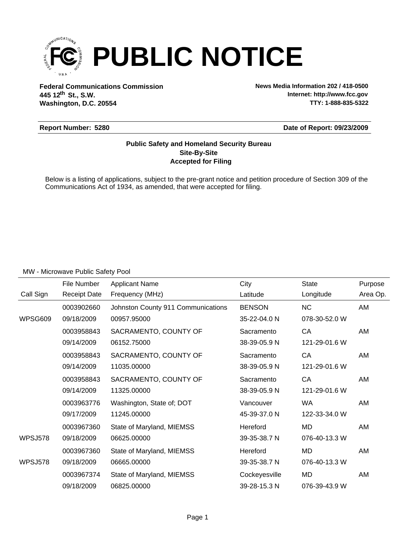

**Federal Communications Commission News Media Information 202 / 418-0500 Washington, D.C. 20554 th 445 12 St., S.W.**

**Internet: http://www.fcc.gov TTY: 1-888-835-5322**

### **Report Number: 5280**

**Date of Report: 09/23/2009**

## **Accepted for Filing Site-By-Site Public Safety and Homeland Security Bureau**

Below is a listing of applications, subject to the pre-grant notice and petition procedure of Section 309 of the Communications Act of 1934, as amended, that were accepted for filing.

|                | File Number         | <b>Applicant Name</b>              | City          | <b>State</b>  | Purpose  |
|----------------|---------------------|------------------------------------|---------------|---------------|----------|
| Call Sign      | <b>Receipt Date</b> | Frequency (MHz)                    | Latitude      | Longitude     | Area Op. |
|                | 0003902660          | Johnston County 911 Communications | <b>BENSON</b> | <b>NC</b>     | AM       |
| WPSG609        | 09/18/2009          | 00957.95000                        | 35-22-04.0 N  | 078-30-52.0 W |          |
|                | 0003958843          | SACRAMENTO, COUNTY OF              | Sacramento    | CA            | AM       |
|                | 09/14/2009          | 06152.75000                        | 38-39-05.9 N  | 121-29-01.6 W |          |
|                | 0003958843          | SACRAMENTO, COUNTY OF              | Sacramento    | CA            | AM       |
|                | 09/14/2009          | 11035.00000                        | 38-39-05.9 N  | 121-29-01.6 W |          |
|                | 0003958843          | SACRAMENTO, COUNTY OF              | Sacramento    | CA            | AM       |
|                | 09/14/2009          | 11325.00000                        | 38-39-05.9 N  | 121-29-01.6 W |          |
|                | 0003963776          | Washington, State of; DOT          | Vancouver     | <b>WA</b>     | AM       |
|                | 09/17/2009          | 11245.00000                        | 45-39-37.0 N  | 122-33-34.0 W |          |
|                | 0003967360          | State of Maryland, MIEMSS          | Hereford      | MD            | AM       |
| <b>WPSJ578</b> | 09/18/2009          | 06625.00000                        | 39-35-38.7 N  | 076-40-13.3 W |          |
|                | 0003967360          | State of Maryland, MIEMSS          | Hereford      | <b>MD</b>     | AM       |
| <b>WPSJ578</b> | 09/18/2009          | 06665.00000                        | 39-35-38.7 N  | 076-40-13.3 W |          |
|                | 0003967374          | State of Maryland, MIEMSS          | Cockeyesville | MD            | AM       |
|                | 09/18/2009          | 06825.00000                        | 39-28-15.3 N  | 076-39-43.9 W |          |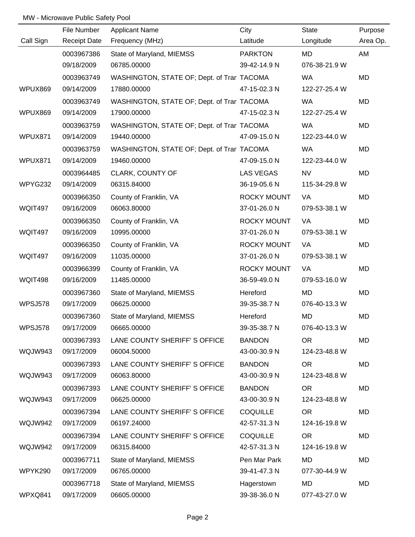|                | File Number         | <b>Applicant Name</b>                      | City               | <b>State</b>  | Purpose  |
|----------------|---------------------|--------------------------------------------|--------------------|---------------|----------|
| Call Sign      | <b>Receipt Date</b> | Frequency (MHz)                            | Latitude           | Longitude     | Area Op. |
|                | 0003967386          | State of Maryland, MIEMSS                  | <b>PARKTON</b>     | MD            | AM       |
|                | 09/18/2009          | 06785.00000                                | 39-42-14.9 N       | 076-38-21.9 W |          |
|                | 0003963749          | WASHINGTON, STATE OF; Dept. of Trar TACOMA |                    | <b>WA</b>     | MD       |
| WPUX869        | 09/14/2009          | 17880.00000                                | 47-15-02.3 N       | 122-27-25.4 W |          |
|                | 0003963749          | WASHINGTON, STATE OF; Dept. of Trar TACOMA |                    | WA            | MD       |
| WPUX869        | 09/14/2009          | 17900.00000                                | 47-15-02.3 N       | 122-27-25.4 W |          |
|                | 0003963759          | WASHINGTON, STATE OF; Dept. of Trar TACOMA |                    | <b>WA</b>     | MD       |
| WPUX871        | 09/14/2009          | 19440.00000                                | 47-09-15.0 N       | 122-23-44.0 W |          |
|                | 0003963759          | WASHINGTON, STATE OF; Dept. of Trar TACOMA |                    | <b>WA</b>     | MD       |
| WPUX871        | 09/14/2009          | 19460.00000                                | 47-09-15.0 N       | 122-23-44.0 W |          |
|                | 0003964485          | CLARK, COUNTY OF                           | <b>LAS VEGAS</b>   | <b>NV</b>     | MD       |
| WPYG232        | 09/14/2009          | 06315.84000                                | 36-19-05.6 N       | 115-34-29.8 W |          |
|                | 0003966350          | County of Franklin, VA                     | <b>ROCKY MOUNT</b> | VA            | MD       |
| WQIT497        | 09/16/2009          | 06063.80000                                | 37-01-26.0 N       | 079-53-38.1 W |          |
|                | 0003966350          | County of Franklin, VA                     | <b>ROCKY MOUNT</b> | VA            | MD       |
| WQIT497        | 09/16/2009          | 10995.00000                                | 37-01-26.0 N       | 079-53-38.1 W |          |
|                | 0003966350          | County of Franklin, VA                     | <b>ROCKY MOUNT</b> | VA            | MD       |
| <b>WQIT497</b> | 09/16/2009          | 11035.00000                                | 37-01-26.0 N       | 079-53-38.1 W |          |
|                | 0003966399          | County of Franklin, VA                     | <b>ROCKY MOUNT</b> | VA            | MD       |
| WQIT498        | 09/16/2009          | 11485.00000                                | 36-59-49.0 N       | 079-53-16.0 W |          |
|                | 0003967360          | State of Maryland, MIEMSS                  | Hereford           | <b>MD</b>     | MD       |
| WPSJ578        | 09/17/2009          | 06625.00000                                | 39-35-38.7 N       | 076-40-13.3 W |          |
|                | 0003967360          | State of Maryland, MIEMSS                  | Hereford           | MD            | MD       |
| WPSJ578        | 09/17/2009          | 06665.00000                                | 39-35-38.7 N       | 076-40-13.3 W |          |
|                | 0003967393          | LANE COUNTY SHERIFF' S OFFICE              | <b>BANDON</b>      | OR            | MD       |
| WQJW943        | 09/17/2009          | 06004.50000                                | 43-00-30.9 N       | 124-23-48.8 W |          |
|                | 0003967393          | LANE COUNTY SHERIFF'S OFFICE               | <b>BANDON</b>      | <b>OR</b>     | MD       |
| WQJW943        | 09/17/2009          | 06063.80000                                | 43-00-30.9 N       | 124-23-48.8 W |          |
|                | 0003967393          | LANE COUNTY SHERIFF' S OFFICE              | <b>BANDON</b>      | <b>OR</b>     | MD       |
| WQJW943        | 09/17/2009          | 06625.00000                                | 43-00-30.9 N       | 124-23-48.8 W |          |
|                | 0003967394          | LANE COUNTY SHERIFF'S OFFICE               | <b>COQUILLE</b>    | <b>OR</b>     | MD       |
| WQJW942        | 09/17/2009          | 06197.24000                                | 42-57-31.3 N       | 124-16-19.8 W |          |
|                | 0003967394          | LANE COUNTY SHERIFF'S OFFICE               | <b>COQUILLE</b>    | <b>OR</b>     | MD       |
| WQJW942        | 09/17/2009          | 06315.84000                                | 42-57-31.3 N       | 124-16-19.8 W |          |
|                | 0003967711          | State of Maryland, MIEMSS                  | Pen Mar Park       | MD            | MD       |
| WPYK290        | 09/17/2009          | 06765.00000                                | 39-41-47.3 N       | 077-30-44.9 W |          |
|                | 0003967718          | State of Maryland, MIEMSS                  | Hagerstown         | MD            | MD       |
| WPXQ841        | 09/17/2009          | 06605.00000                                | 39-38-36.0 N       | 077-43-27.0 W |          |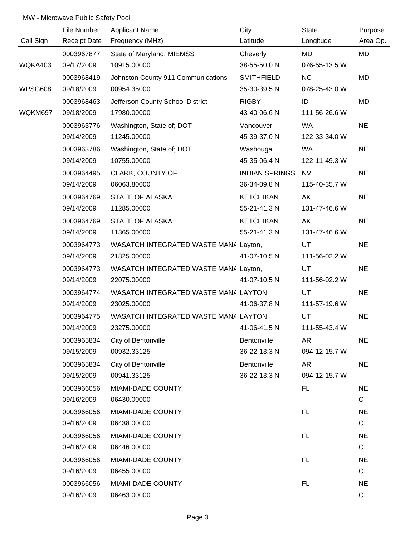|           | File Number         | <b>Applicant Name</b>                 | City                  | State         | Purpose     |
|-----------|---------------------|---------------------------------------|-----------------------|---------------|-------------|
| Call Sign | <b>Receipt Date</b> | Frequency (MHz)                       | Latitude              | Longitude     | Area Op.    |
|           | 0003967877          | State of Maryland, MIEMSS             | Cheverly              | MD            | MD          |
| WQKA403   | 09/17/2009          | 10915.00000                           | 38-55-50.0 N          | 076-55-13.5 W |             |
|           | 0003968419          | Johnston County 911 Communications    | <b>SMITHFIELD</b>     | <b>NC</b>     | MD          |
| WPSG608   | 09/18/2009          | 00954.35000                           | 35-30-39.5 N          | 078-25-43.0 W |             |
|           | 0003968463          | Jefferson County School District      | <b>RIGBY</b>          | ID            | MD          |
| WQKM697   | 09/18/2009          | 17980.00000                           | 43-40-06.6 N          | 111-56-26.6 W |             |
|           | 0003963776          | Washington, State of; DOT             | Vancouver             | WA            | <b>NE</b>   |
|           | 09/14/2009          | 11245.00000                           | 45-39-37.0 N          | 122-33-34.0 W |             |
|           | 0003963786          | Washington, State of; DOT             | Washougal             | <b>WA</b>     | <b>NE</b>   |
|           | 09/14/2009          | 10755.00000                           | 45-35-06.4 N          | 122-11-49.3 W |             |
|           | 0003964495          | CLARK, COUNTY OF                      | <b>INDIAN SPRINGS</b> | <b>NV</b>     | <b>NE</b>   |
|           | 09/14/2009          | 06063.80000                           | 36-34-09.8 N          | 115-40-35.7 W |             |
|           | 0003964769          | <b>STATE OF ALASKA</b>                | <b>KETCHIKAN</b>      | AK            | <b>NE</b>   |
|           | 09/14/2009          | 11285.00000                           | 55-21-41.3 N          | 131-47-46.6 W |             |
|           | 0003964769          | <b>STATE OF ALASKA</b>                | <b>KETCHIKAN</b>      | AK            | <b>NE</b>   |
|           | 09/14/2009          | 11365.00000                           | 55-21-41.3 N          | 131-47-46.6 W |             |
|           | 0003964773          | WASATCH INTEGRATED WASTE MANA Layton, |                       | UT            | <b>NE</b>   |
|           | 09/14/2009          | 21825.00000                           | 41-07-10.5 N          | 111-56-02.2 W |             |
|           | 0003964773          | WASATCH INTEGRATED WASTE MANA Layton, |                       | UT            | <b>NE</b>   |
|           | 09/14/2009          | 22075.00000                           | 41-07-10.5 N          | 111-56-02.2 W |             |
|           | 0003964774          | WASATCH INTEGRATED WASTE MANA LAYTON  |                       | UT            | <b>NE</b>   |
|           | 09/14/2009          | 23025.00000                           | 41-06-37.8 N          | 111-57-19.6 W |             |
|           | 0003964775          | WASATCH INTEGRATED WASTE MANA LAYTON  |                       | UT            | <b>NE</b>   |
|           | 09/14/2009          | 23275.00000                           | 41-06-41.5 N          | 111-55-43.4 W |             |
|           | 0003965834          | City of Bentonville                   | Bentonville           | AR            | <b>NE</b>   |
|           | 09/15/2009          | 00932.33125                           | 36-22-13.3 N          | 094-12-15.7 W |             |
|           | 0003965834          | City of Bentonville                   | Bentonville           | AR            | <b>NE</b>   |
|           | 09/15/2009          | 00941.33125                           | 36-22-13.3 N          | 094-12-15.7 W |             |
|           | 0003966056          | MIAMI-DADE COUNTY                     |                       | FL.           | <b>NE</b>   |
|           | 09/16/2009          | 06430.00000                           |                       |               | $\mathbf C$ |
|           | 0003966056          | MIAMI-DADE COUNTY                     |                       | <b>FL</b>     | <b>NE</b>   |
|           | 09/16/2009          | 06438.00000                           |                       |               | $\mathsf C$ |
|           | 0003966056          | MIAMI-DADE COUNTY                     |                       | <b>FL</b>     | <b>NE</b>   |
|           | 09/16/2009          | 06446.00000                           |                       |               | ${\bf C}$   |
|           | 0003966056          | MIAMI-DADE COUNTY                     |                       | FL.           | <b>NE</b>   |
|           | 09/16/2009          | 06455.00000                           |                       |               | $\mathsf C$ |
|           | 0003966056          | MIAMI-DADE COUNTY                     |                       | <b>FL</b>     | <b>NE</b>   |
|           | 09/16/2009          | 06463.00000                           |                       |               | C           |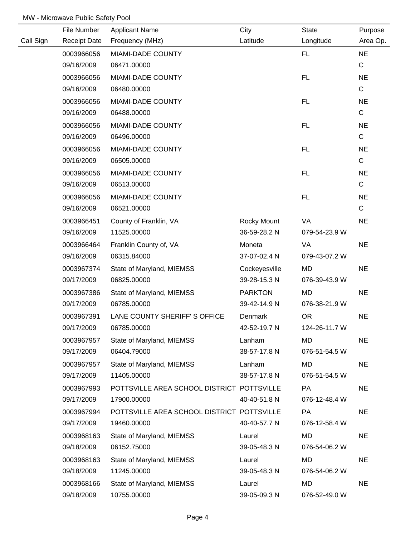|           | File Number         | <b>Applicant Name</b>                      | City           | <b>State</b>  | Purpose     |
|-----------|---------------------|--------------------------------------------|----------------|---------------|-------------|
| Call Sign | <b>Receipt Date</b> | Frequency (MHz)                            | Latitude       | Longitude     | Area Op.    |
|           | 0003966056          | MIAMI-DADE COUNTY                          |                | FL.           | <b>NE</b>   |
|           | 09/16/2009          | 06471.00000                                |                |               | $\mathsf C$ |
|           | 0003966056          | MIAMI-DADE COUNTY                          |                | FL.           | <b>NE</b>   |
|           | 09/16/2009          | 06480.00000                                |                |               | $\mathbf C$ |
|           | 0003966056          | MIAMI-DADE COUNTY                          |                | <b>FL</b>     | <b>NE</b>   |
|           | 09/16/2009          | 06488.00000                                |                |               | $\mathbf C$ |
|           | 0003966056          | MIAMI-DADE COUNTY                          |                | FL.           | <b>NE</b>   |
|           | 09/16/2009          | 06496.00000                                |                |               | $\mathbf C$ |
|           | 0003966056          | MIAMI-DADE COUNTY                          |                | FL            | <b>NE</b>   |
|           | 09/16/2009          | 06505.00000                                |                |               | $\mathbf C$ |
|           | 0003966056          | MIAMI-DADE COUNTY                          |                | FL.           | <b>NE</b>   |
|           | 09/16/2009          | 06513.00000                                |                |               | $\mathbf C$ |
|           | 0003966056          | MIAMI-DADE COUNTY                          |                | FL            | <b>NE</b>   |
|           | 09/16/2009          | 06521.00000                                |                |               | $\mathbf C$ |
|           | 0003966451          | County of Franklin, VA                     | Rocky Mount    | VA            | <b>NE</b>   |
|           | 09/16/2009          | 11525.00000                                | 36-59-28.2 N   | 079-54-23.9 W |             |
|           | 0003966464          | Franklin County of, VA                     | Moneta         | VA            | <b>NE</b>   |
|           | 09/16/2009          | 06315.84000                                | 37-07-02.4 N   | 079-43-07.2 W |             |
|           | 0003967374          | State of Maryland, MIEMSS                  | Cockeyesville  | MD            | <b>NE</b>   |
|           | 09/17/2009          | 06825.00000                                | 39-28-15.3 N   | 076-39-43.9 W |             |
|           | 0003967386          | State of Maryland, MIEMSS                  | <b>PARKTON</b> | <b>MD</b>     | <b>NE</b>   |
|           | 09/17/2009          | 06785.00000                                | 39-42-14.9 N   | 076-38-21.9 W |             |
|           | 0003967391          | LANE COUNTY SHERIFF'S OFFICE               | Denmark        | <b>OR</b>     | <b>NE</b>   |
|           | 09/17/2009          | 06785.00000                                | 42-52-19.7 N   | 124-26-11.7 W |             |
|           | 0003967957          | State of Maryland, MIEMSS                  | Lanham         | <b>MD</b>     | <b>NE</b>   |
|           | 09/17/2009          | 06404.79000                                | 38-57-17.8 N   | 076-51-54.5 W |             |
|           | 0003967957          | State of Maryland, MIEMSS                  | Lanham         | MD            | <b>NE</b>   |
|           | 09/17/2009          | 11405.00000                                | 38-57-17.8 N   | 076-51-54.5 W |             |
|           | 0003967993          | POTTSVILLE AREA SCHOOL DISTRICT POTTSVILLE |                | <b>PA</b>     | <b>NE</b>   |
|           | 09/17/2009          | 17900.00000                                | 40-40-51.8 N   | 076-12-48.4 W |             |
|           | 0003967994          | POTTSVILLE AREA SCHOOL DISTRICT POTTSVILLE |                | <b>PA</b>     | <b>NE</b>   |
|           | 09/17/2009          | 19460.00000                                | 40-40-57.7 N   | 076-12-58.4 W |             |
|           | 0003968163          | State of Maryland, MIEMSS                  | Laurel         | MD            | <b>NE</b>   |
|           | 09/18/2009          | 06152.75000                                | 39-05-48.3 N   | 076-54-06.2 W |             |
|           | 0003968163          | State of Maryland, MIEMSS                  | Laurel         | <b>MD</b>     | <b>NE</b>   |
|           | 09/18/2009          | 11245.00000                                | 39-05-48.3 N   | 076-54-06.2 W |             |
|           | 0003968166          | State of Maryland, MIEMSS                  | Laurel         | MD            | <b>NE</b>   |
|           | 09/18/2009          | 10755.00000                                | 39-05-09.3 N   | 076-52-49.0 W |             |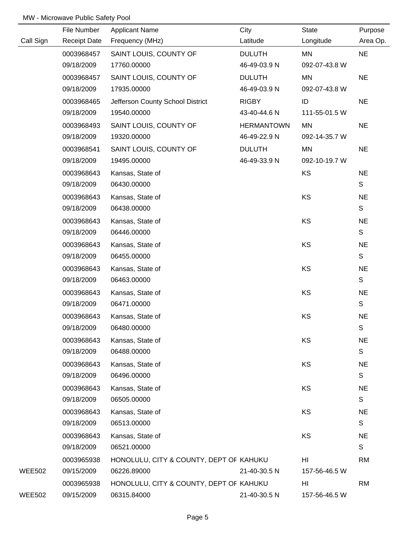|               | File Number         | <b>Applicant Name</b>                   | City              | <b>State</b>  | Purpose     |
|---------------|---------------------|-----------------------------------------|-------------------|---------------|-------------|
| Call Sign     | <b>Receipt Date</b> | Frequency (MHz)                         | Latitude          | Longitude     | Area Op.    |
|               | 0003968457          | SAINT LOUIS, COUNTY OF                  | <b>DULUTH</b>     | MN            | <b>NE</b>   |
|               | 09/18/2009          | 17760.00000                             | 46-49-03.9 N      | 092-07-43.8 W |             |
|               | 0003968457          | SAINT LOUIS, COUNTY OF                  | <b>DULUTH</b>     | MN            | <b>NE</b>   |
|               | 09/18/2009          | 17935.00000                             | 46-49-03.9 N      | 092-07-43.8 W |             |
|               | 0003968465          | Jefferson County School District        | <b>RIGBY</b>      | ID            | <b>NE</b>   |
|               | 09/18/2009          | 19540.00000                             | 43-40-44.6 N      | 111-55-01.5 W |             |
|               | 0003968493          | SAINT LOUIS, COUNTY OF                  | <b>HERMANTOWN</b> | <b>MN</b>     | <b>NE</b>   |
|               | 09/18/2009          | 19320.00000                             | 46-49-22.9 N      | 092-14-35.7 W |             |
|               | 0003968541          | SAINT LOUIS, COUNTY OF                  | <b>DULUTH</b>     | MN            | <b>NE</b>   |
|               | 09/18/2009          | 19495.00000                             | 46-49-33.9 N      | 092-10-19.7 W |             |
|               | 0003968643          | Kansas, State of                        |                   | KS            | <b>NE</b>   |
|               | 09/18/2009          | 06430.00000                             |                   |               | S           |
|               | 0003968643          | Kansas, State of                        |                   | KS            | <b>NE</b>   |
|               | 09/18/2009          | 06438.00000                             |                   |               | $\mathbb S$ |
|               | 0003968643          | Kansas, State of                        |                   | KS            | <b>NE</b>   |
|               | 09/18/2009          | 06446.00000                             |                   |               | S           |
|               | 0003968643          | Kansas, State of                        |                   | KS            | <b>NE</b>   |
|               | 09/18/2009          | 06455.00000                             |                   |               | S           |
|               | 0003968643          | Kansas, State of                        |                   | KS            | <b>NE</b>   |
|               | 09/18/2009          | 06463.00000                             |                   |               | S           |
|               | 0003968643          | Kansas, State of                        |                   | KS            | <b>NE</b>   |
|               | 09/18/2009          | 06471.00000                             |                   |               | S           |
|               | 0003968643          | Kansas, State of                        |                   | KS            | <b>NE</b>   |
|               | 09/18/2009          | 06480.00000                             |                   |               | S           |
|               | 0003968643          | Kansas, State of                        |                   | KS            | <b>NE</b>   |
|               | 09/18/2009          | 06488.00000                             |                   |               | S           |
|               | 0003968643          | Kansas, State of                        |                   | KS            | <b>NE</b>   |
|               | 09/18/2009          | 06496.00000                             |                   |               | S           |
|               | 0003968643          | Kansas, State of                        |                   | KS            | <b>NE</b>   |
|               | 09/18/2009          | 06505.00000                             |                   |               | S           |
|               | 0003968643          | Kansas, State of                        |                   | KS            | <b>NE</b>   |
|               | 09/18/2009          | 06513.00000                             |                   |               | S           |
|               | 0003968643          | Kansas, State of                        |                   | KS            | <b>NE</b>   |
|               | 09/18/2009          | 06521.00000                             |                   |               | S           |
|               | 0003965938          | HONOLULU, CITY & COUNTY, DEPT OF KAHUKU |                   | HI            | <b>RM</b>   |
| <b>WEE502</b> | 09/15/2009          | 06226.89000                             | 21-40-30.5 N      | 157-56-46.5 W |             |
|               | 0003965938          | HONOLULU, CITY & COUNTY, DEPT OF KAHUKU |                   | HI            | <b>RM</b>   |
| <b>WEE502</b> | 09/15/2009          | 06315.84000                             | 21-40-30.5 N      | 157-56-46.5 W |             |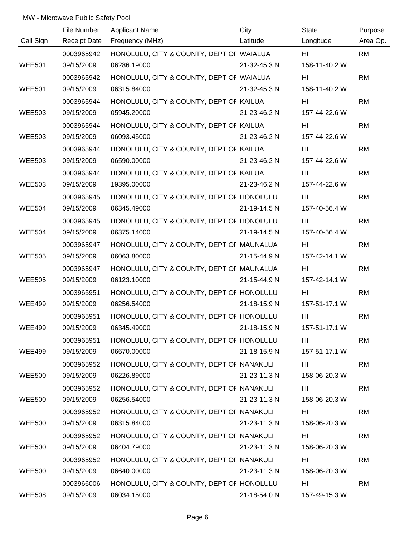|               | File Number         | <b>Applicant Name</b>                     | City         | State         | Purpose   |
|---------------|---------------------|-------------------------------------------|--------------|---------------|-----------|
| Call Sign     | <b>Receipt Date</b> | Frequency (MHz)                           | Latitude     | Longitude     | Area Op.  |
|               | 0003965942          | HONOLULU, CITY & COUNTY, DEPT OF WAIALUA  |              | HL            | <b>RM</b> |
| <b>WEE501</b> | 09/15/2009          | 06286.19000                               | 21-32-45.3 N | 158-11-40.2 W |           |
|               | 0003965942          | HONOLULU, CITY & COUNTY, DEPT OF WAIALUA  |              | HI            | <b>RM</b> |
| <b>WEE501</b> | 09/15/2009          | 06315.84000                               | 21-32-45.3 N | 158-11-40.2 W |           |
|               | 0003965944          | HONOLULU, CITY & COUNTY, DEPT OF KAILUA   |              | HI            | <b>RM</b> |
| <b>WEE503</b> | 09/15/2009          | 05945.20000                               | 21-23-46.2 N | 157-44-22.6 W |           |
|               | 0003965944          | HONOLULU, CITY & COUNTY, DEPT OF KAILUA   |              | HI            | <b>RM</b> |
| <b>WEE503</b> | 09/15/2009          | 06093.45000                               | 21-23-46.2 N | 157-44-22.6 W |           |
|               | 0003965944          | HONOLULU, CITY & COUNTY, DEPT OF KAILUA   |              | HL            | <b>RM</b> |
| <b>WEE503</b> | 09/15/2009          | 06590.00000                               | 21-23-46.2 N | 157-44-22.6 W |           |
|               | 0003965944          | HONOLULU, CITY & COUNTY, DEPT OF KAILUA   |              | HI            | <b>RM</b> |
| <b>WEE503</b> | 09/15/2009          | 19395.00000                               | 21-23-46.2 N | 157-44-22.6 W |           |
|               | 0003965945          | HONOLULU, CITY & COUNTY, DEPT OF HONOLULU |              | HI            | <b>RM</b> |
| <b>WEE504</b> | 09/15/2009          | 06345.49000                               | 21-19-14.5 N | 157-40-56.4 W |           |
|               | 0003965945          | HONOLULU, CITY & COUNTY, DEPT OF HONOLULU |              | HI            | <b>RM</b> |
| <b>WEE504</b> | 09/15/2009          | 06375.14000                               | 21-19-14.5 N | 157-40-56.4 W |           |
|               | 0003965947          | HONOLULU, CITY & COUNTY, DEPT OF MAUNALUA |              | HI            | <b>RM</b> |
| <b>WEE505</b> | 09/15/2009          | 06063.80000                               | 21-15-44.9 N | 157-42-14.1 W |           |
|               | 0003965947          | HONOLULU, CITY & COUNTY, DEPT OF MAUNALUA |              | HI.           | <b>RM</b> |
| <b>WEE505</b> | 09/15/2009          | 06123.10000                               | 21-15-44.9 N | 157-42-14.1 W |           |
|               | 0003965951          | HONOLULU, CITY & COUNTY, DEPT OF HONOLULU |              | HI.           | <b>RM</b> |
| <b>WEE499</b> | 09/15/2009          | 06256.54000                               | 21-18-15.9 N | 157-51-17.1 W |           |
|               | 0003965951          | HONOLULU, CITY & COUNTY, DEPT OF HONOLULU |              | HI            | <b>RM</b> |
| <b>WEE499</b> | 09/15/2009          | 06345.49000                               | 21-18-15.9 N | 157-51-17.1 W |           |
|               | 0003965951          | HONOLULU, CITY & COUNTY, DEPT OF HONOLULU |              | HI            | <b>RM</b> |
| <b>WEE499</b> | 09/15/2009          | 06670.00000                               | 21-18-15.9 N | 157-51-17.1 W |           |
|               | 0003965952          | HONOLULU, CITY & COUNTY, DEPT OF NANAKULI |              | HI            | <b>RM</b> |
| <b>WEE500</b> | 09/15/2009          | 06226.89000                               | 21-23-11.3 N | 158-06-20.3 W |           |
|               | 0003965952          | HONOLULU, CITY & COUNTY, DEPT OF NANAKULI |              | HI            | <b>RM</b> |
| <b>WEE500</b> | 09/15/2009          | 06256.54000                               | 21-23-11.3 N | 158-06-20.3 W |           |
|               | 0003965952          | HONOLULU, CITY & COUNTY, DEPT OF NANAKULI |              | HI            | <b>RM</b> |
| <b>WEE500</b> | 09/15/2009          | 06315.84000                               | 21-23-11.3 N | 158-06-20.3 W |           |
|               | 0003965952          | HONOLULU, CITY & COUNTY, DEPT OF NANAKULI |              | HI            | <b>RM</b> |
| <b>WEE500</b> | 09/15/2009          | 06404.79000                               | 21-23-11.3 N | 158-06-20.3 W |           |
|               | 0003965952          | HONOLULU, CITY & COUNTY, DEPT OF NANAKULI |              | HI            | <b>RM</b> |
| <b>WEE500</b> | 09/15/2009          | 06640.00000                               | 21-23-11.3 N | 158-06-20.3 W |           |
|               | 0003966006          | HONOLULU, CITY & COUNTY, DEPT OF HONOLULU |              | HI            | <b>RM</b> |
| <b>WEE508</b> | 09/15/2009          | 06034.15000                               | 21-18-54.0 N | 157-49-15.3 W |           |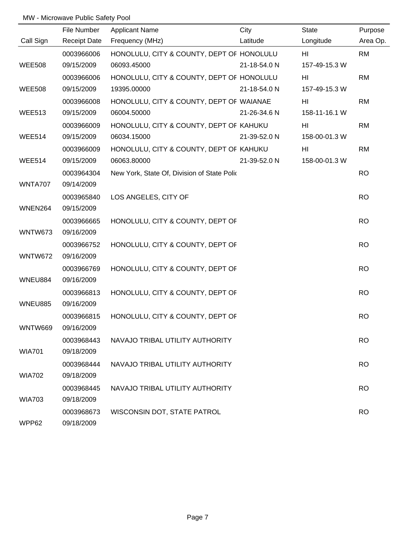|                | File Number         | <b>Applicant Name</b>                       | City         | <b>State</b>  | Purpose   |
|----------------|---------------------|---------------------------------------------|--------------|---------------|-----------|
| Call Sign      | <b>Receipt Date</b> | Frequency (MHz)                             | Latitude     | Longitude     | Area Op.  |
|                | 0003966006          | HONOLULU, CITY & COUNTY, DEPT OF HONOLULU   |              | HI            | <b>RM</b> |
| <b>WEE508</b>  | 09/15/2009          | 06093.45000                                 | 21-18-54.0 N | 157-49-15.3 W |           |
|                | 0003966006          | HONOLULU, CITY & COUNTY, DEPT OF HONOLULU   |              | HI            | <b>RM</b> |
| <b>WEE508</b>  | 09/15/2009          | 19395.00000                                 | 21-18-54.0 N | 157-49-15.3 W |           |
|                | 0003966008          | HONOLULU, CITY & COUNTY, DEPT OF WAIANAE    |              | HI            | <b>RM</b> |
| <b>WEE513</b>  | 09/15/2009          | 06004.50000                                 | 21-26-34.6 N | 158-11-16.1 W |           |
|                | 0003966009          | HONOLULU, CITY & COUNTY, DEPT OF KAHUKU     |              | HI            | <b>RM</b> |
| <b>WEE514</b>  | 09/15/2009          | 06034.15000                                 | 21-39-52.0 N | 158-00-01.3 W |           |
|                | 0003966009          | HONOLULU, CITY & COUNTY, DEPT OF KAHUKU     |              | HI            | <b>RM</b> |
| <b>WEE514</b>  | 09/15/2009          | 06063.80000                                 | 21-39-52.0 N | 158-00-01.3 W |           |
|                | 0003964304          | New York, State Of, Division of State Polic |              |               | <b>RO</b> |
| WNTA707        | 09/14/2009          |                                             |              |               |           |
|                | 0003965840          | LOS ANGELES, CITY OF                        |              |               | <b>RO</b> |
| WNEN264        | 09/15/2009          |                                             |              |               |           |
|                | 0003966665          | HONOLULU, CITY & COUNTY, DEPT OF            |              |               | <b>RO</b> |
| WNTW673        | 09/16/2009          |                                             |              |               |           |
|                | 0003966752          | HONOLULU, CITY & COUNTY, DEPT OF            |              |               | <b>RO</b> |
| WNTW672        | 09/16/2009          |                                             |              |               |           |
|                | 0003966769          | HONOLULU, CITY & COUNTY, DEPT OF            |              |               | <b>RO</b> |
| WNEU884        | 09/16/2009          |                                             |              |               |           |
|                | 0003966813          | HONOLULU, CITY & COUNTY, DEPT OF            |              |               | <b>RO</b> |
| WNEU885        | 09/16/2009          |                                             |              |               |           |
|                | 0003966815          | HONOLULU, CITY & COUNTY, DEPT OF            |              |               | <b>RO</b> |
| <b>WNTW669</b> | 09/16/2009          |                                             |              |               |           |
|                | 0003968443          | NAVAJO TRIBAL UTILITY AUTHORITY             |              |               | <b>RO</b> |
| <b>WIA701</b>  | 09/18/2009          |                                             |              |               |           |
|                | 0003968444          | NAVAJO TRIBAL UTILITY AUTHORITY             |              |               | <b>RO</b> |
| <b>WIA702</b>  | 09/18/2009          |                                             |              |               |           |
|                | 0003968445          | NAVAJO TRIBAL UTILITY AUTHORITY             |              |               | <b>RO</b> |
| <b>WIA703</b>  | 09/18/2009          |                                             |              |               |           |
|                | 0003968673          | WISCONSIN DOT, STATE PATROL                 |              |               | <b>RO</b> |
| WPP62          | 09/18/2009          |                                             |              |               |           |